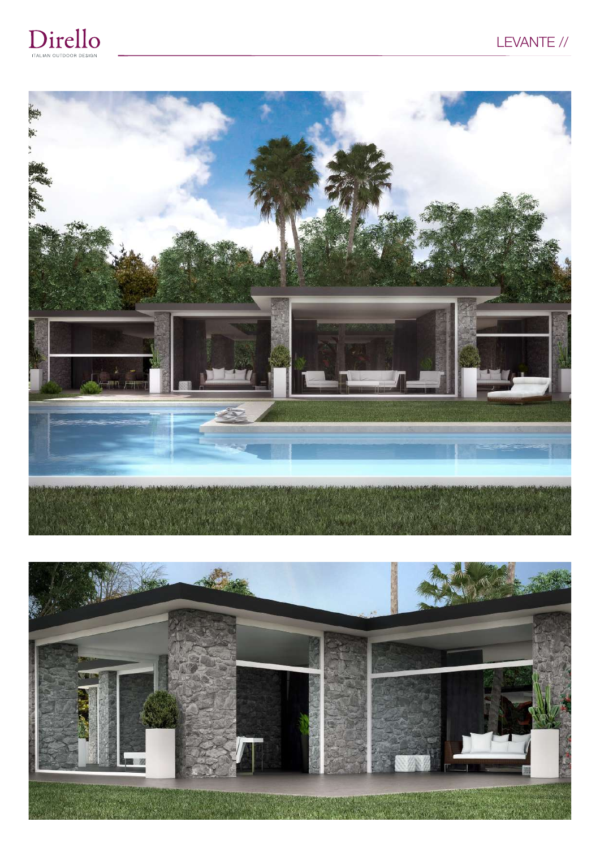





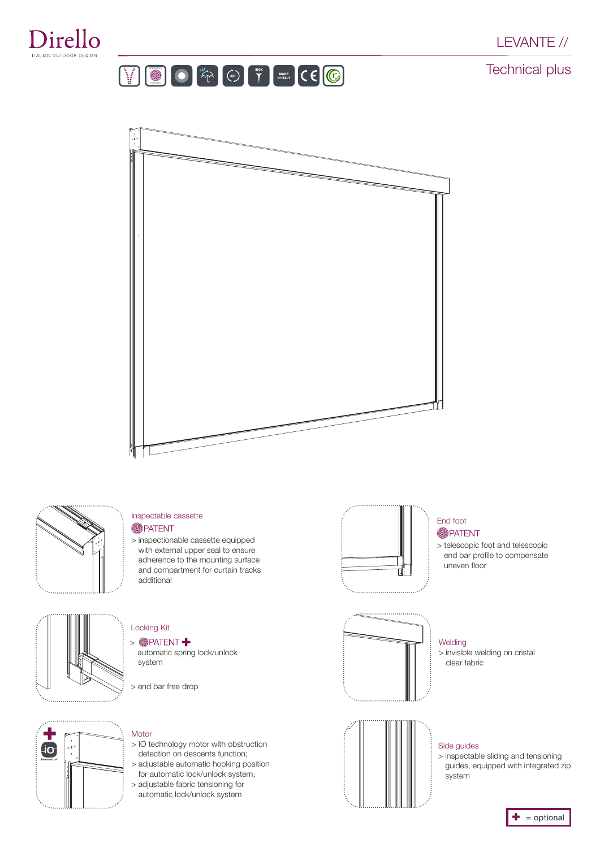







#### Inspectable cassette **S**PATENT

> inspectionable cassette equipped with external upper seal to ensure adherence to the mounting surface and compartment for curtain tracks additional



#### End foot **SPATENT**

> telescopic foot and telescopic end bar profile to compensate uneven floor

> invisible welding on cristal



#### Locking Kit > **@PATENT**

- automatic spring lock/unlock system
- > end bar free drop



### Motor

- > IO technology motor with obstruction detection on descents function;
- > adjustable automatic hooking position for automatic lock/unlock system;
- > adjustable fabric tensioning for automatic lock/unlock system



#### Side guides

Welding

clear fabric

> inspectable sliding and tensioning guides, equipped with integrated zip system

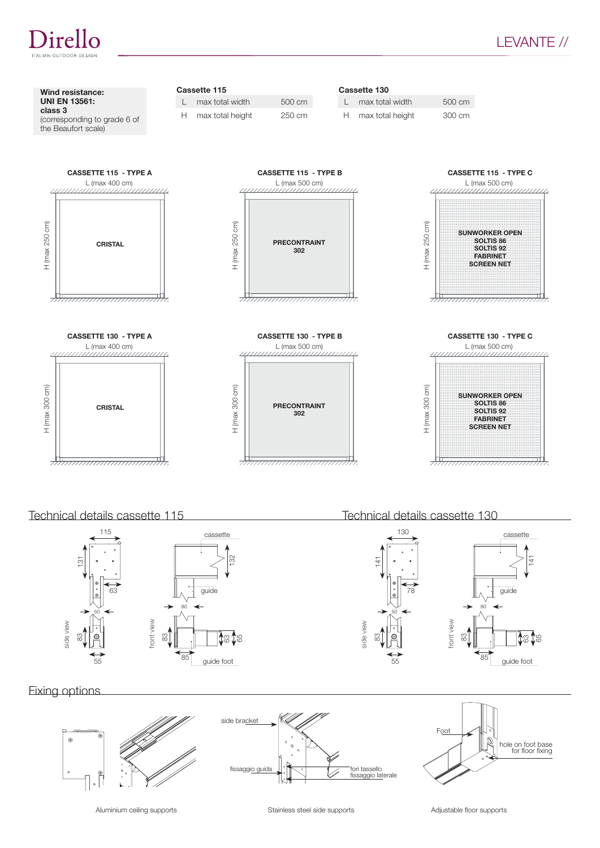



Technical details cassette 115 Technical details cassette 130

)irello



# Fixing options

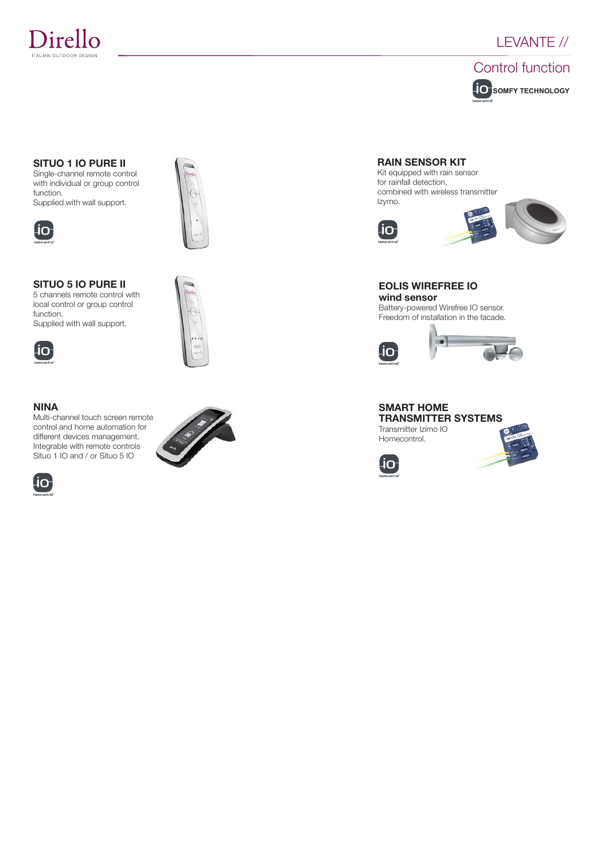



#### SITUO 1 IO PURE II

Single-channel remote control with individual or group control function. Supplied with wall support.



# SITUO 5 IO PURE II

5 channels remote control with local control or group control function. Supplied with wall support.



#### NINA

Multi-channel touch screen remote control and home automation for different devices management. Integrable with remote controls Situo 1 IO and / or Situo 5 IO









RAIN SENSOR KIT

combined with wireless transmitter Izymo.





EOLIS WIREFREE IO wind sensor

Battery-powered Wirefree IO sensor. Freedom of installation in the facade.



#### SMART HOME TRANSMITTER SYSTEMS Transmitter Izimo IO Homecontrol.



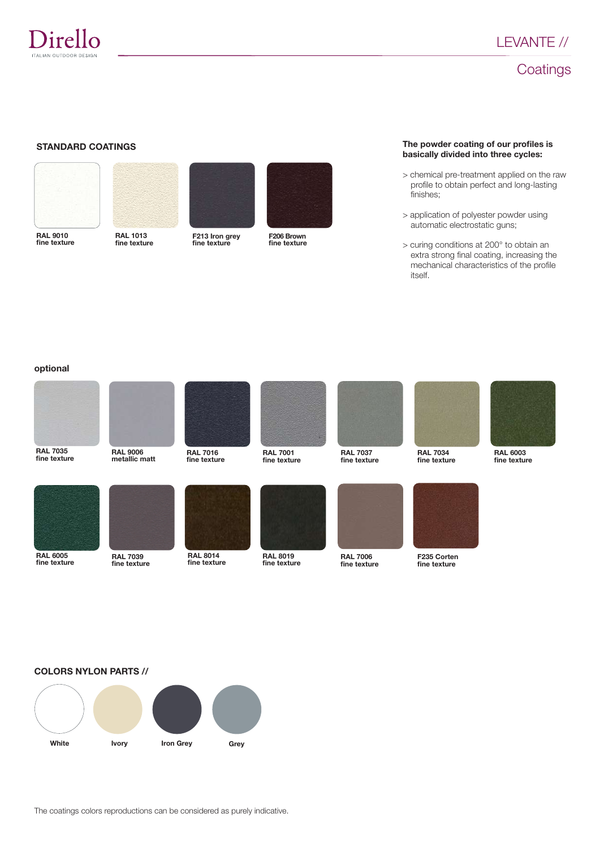

# **Coatings**

#### STANDARD COATINGS



fine texture



RAL 1013 fine texture



F213 Iron grey fine texture



F206 Brown fine texture

#### The powder coating of our profiles is basically divided into three cycles:

- > chemical pre-treatment applied on the raw profile to obtain perfect and long-lasting finishes;
- > application of polyester powder using automatic electrostatic guns;
- > curing conditions at 200° to obtain an extra strong final coating, increasing the mechanical characteristics of the profile itself.

#### optional



RAL 7035 fine texture











RAL 7001 fine texture



RAL 8019 fine texture



RAL 7037 fine texture

RAL 7006 fine texture





RAL 6003 fine texture



RAL 6005 fine texture













# COLORS NYLON PARTS //